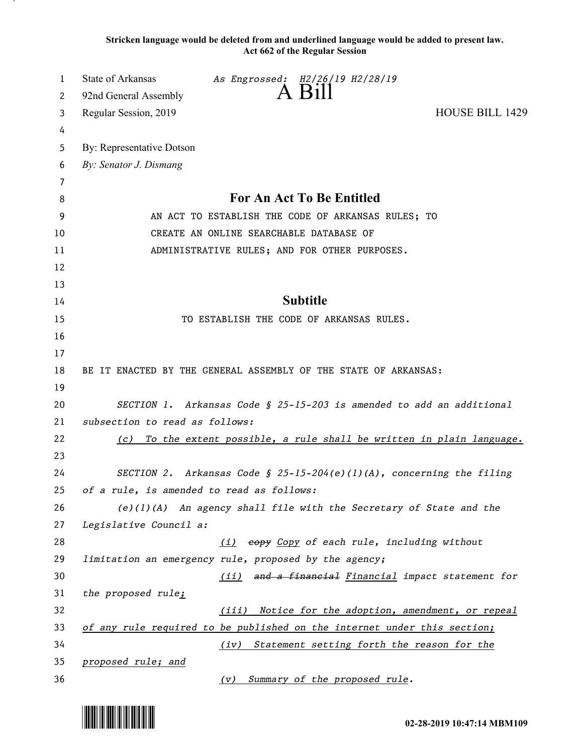**Stricken language would be deleted from and underlined language would be added to present law. Act 662 of the Regular Session**

| 1  | State of Arkansas<br>As Engrossed: H2/26/19 H2/28/19                     |  |
|----|--------------------------------------------------------------------------|--|
| 2  | 92nd General Assembly                                                    |  |
| 3  | <b>HOUSE BILL 1429</b><br>Regular Session, 2019                          |  |
| 4  |                                                                          |  |
| 5  | By: Representative Dotson                                                |  |
| 6  | By: Senator J. Dismang                                                   |  |
| 7  |                                                                          |  |
| 8  | For An Act To Be Entitled                                                |  |
| 9  | AN ACT TO ESTABLISH THE CODE OF ARKANSAS RULES; TO                       |  |
| 10 | CREATE AN ONLINE SEARCHABLE DATABASE OF                                  |  |
| 11 | ADMINISTRATIVE RULES; AND FOR OTHER PURPOSES.                            |  |
| 12 |                                                                          |  |
| 13 |                                                                          |  |
| 14 | <b>Subtitle</b>                                                          |  |
| 15 | TO ESTABLISH THE CODE OF ARKANSAS RULES.                                 |  |
| 16 |                                                                          |  |
| 17 |                                                                          |  |
| 18 | BE IT ENACTED BY THE GENERAL ASSEMBLY OF THE STATE OF ARKANSAS:          |  |
| 19 |                                                                          |  |
| 20 | SECTION 1. Arkansas Code § 25-15-203 is amended to add an additional     |  |
| 21 | subsection to read as follows:                                           |  |
| 22 | (c) To the extent possible, a rule shall be written in plain language.   |  |
| 23 |                                                                          |  |
| 24 | SECTION 2. Arkansas Code § 25-15-204(e)(1)(A), concerning the filing     |  |
| 25 | of a rule, is amended to read as follows:                                |  |
| 26 | (e)(1)(A) An agency shall file with the Secretary of State and the       |  |
| 27 | Legislative Council a:                                                   |  |
| 28 | (i) eopy Copy of each rule, including without                            |  |
| 29 | limitation an emergency rule, proposed by the agency;                    |  |
| 30 | (ii) and a financial Financial impact statement for                      |  |
| 31 | the proposed rule;                                                       |  |
| 32 | (iii) Notice for the adoption, amendment, or repeal                      |  |
| 33 | of any rule required to be published on the internet under this section; |  |
| 34 | (iv) Statement setting forth the reason for the                          |  |
| 35 | proposed rule; and                                                       |  |
| 36 | (v) Summary of the proposed rule.                                        |  |

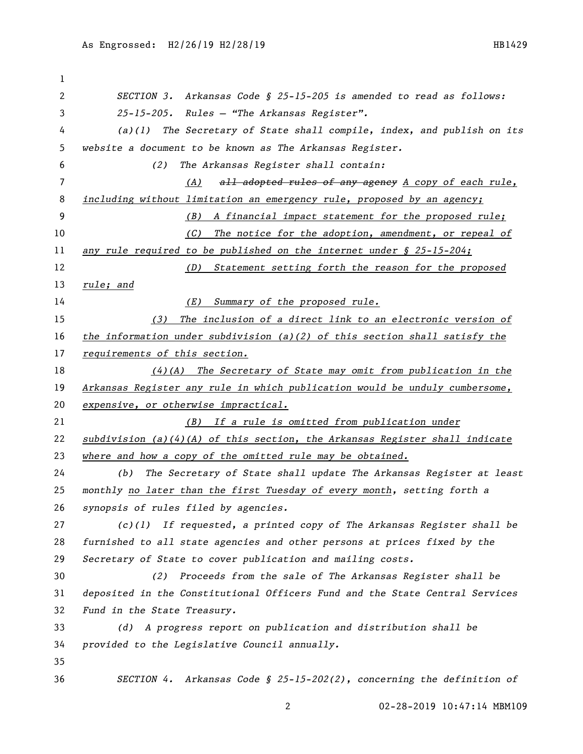| 1  |                                                                               |
|----|-------------------------------------------------------------------------------|
| 2  | SECTION 3. Arkansas Code § 25-15-205 is amended to read as follows:           |
| 3  | 25-15-205. Rules - "The Arkansas Register".                                   |
| 4  | $(a)(1)$ The Secretary of State shall compile, index, and publish on its      |
| 5  | website a document to be known as The Arkansas Register.                      |
| 6  | (2)<br>The Arkansas Register shall contain:                                   |
| 7  | all adopted rules of any agency A copy of each rule,<br>(A)                   |
| 8  | including without limitation an emergency rule, proposed by an agency;        |
| 9  | A financial impact statement for the proposed rule;<br>(B)                    |
| 10 | The notice for the adoption, amendment, or repeal of<br>(C)                   |
| 11 | any rule required to be published on the internet under $\S$ 25-15-204;       |
| 12 | (D) Statement setting forth the reason for the proposed                       |
| 13 | rule; and                                                                     |
| 14 | (E)<br>Summary of the proposed rule.                                          |
| 15 | The inclusion of a direct link to an electronic version of<br>(3)             |
| 16 | the information under subdivision (a)(2) of this section shall satisfy the    |
| 17 | requirements of this section.                                                 |
| 18 | $(4)$ (A) The Secretary of State may omit from publication in the             |
| 19 | Arkansas Register any rule in which publication would be unduly cumbersome,   |
| 20 | expensive, or otherwise impractical.                                          |
| 21 | (B) If a rule is omitted from publication under                               |
| 22 | $subdivision$ (a)(4)(A) of this section, the Arkansas Register shall indicate |
| 23 | where and how a copy of the omitted rule may be obtained.                     |
| 24 | The Secretary of State shall update The Arkansas Register at least<br>(b)     |
| 25 | monthly no later than the first Tuesday of every month, setting forth a       |
| 26 | synopsis of rules filed by agencies.                                          |
| 27 | If requested, a printed copy of The Arkansas Register shall be<br>(c)(1)      |
| 28 | furnished to all state agencies and other persons at prices fixed by the      |
| 29 | Secretary of State to cover publication and mailing costs.                    |
| 30 | Proceeds from the sale of The Arkansas Register shall be<br>(2)               |
| 31 | deposited in the Constitutional Officers Fund and the State Central Services  |
| 32 | Fund in the State Treasury.                                                   |
| 33 | A progress report on publication and distribution shall be<br>(d)             |
| 34 | provided to the Legislative Council annually.                                 |
| 35 |                                                                               |
| 36 | SECTION 4. Arkansas Code § 25-15-202(2), concerning the definition of         |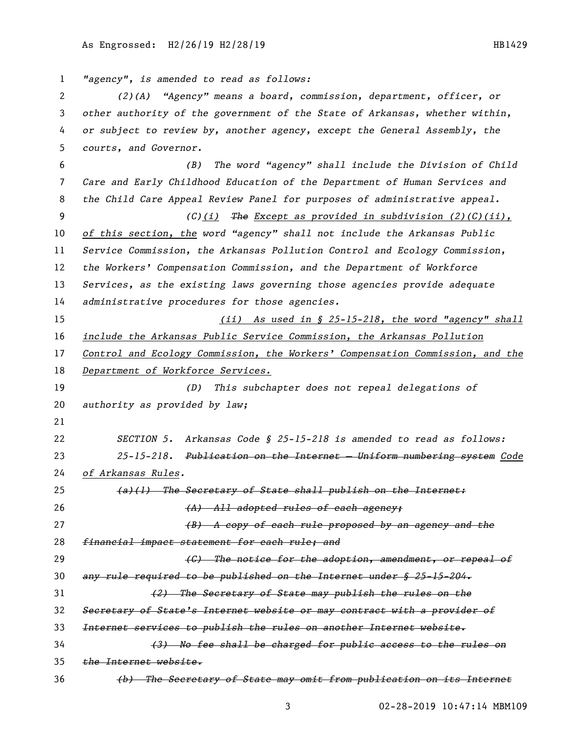*"agency", is amended to read as follows: (2)(A) "Agency" means a board, commission, department, officer, or other authority of the government of the State of Arkansas, whether within, or subject to review by, another agency, except the General Assembly, the courts, and Governor. (B) The word "agency" shall include the Division of Child Care and Early Childhood Education of the Department of Human Services and the Child Care Appeal Review Panel for purposes of administrative appeal. (C)(i) The Except as provided in subdivision (2)(C)(ii), of this section, the word "agency" shall not include the Arkansas Public Service Commission, the Arkansas Pollution Control and Ecology Commission, the Workers' Compensation Commission, and the Department of Workforce Services, as the existing laws governing those agencies provide adequate administrative procedures for those agencies. (ii) As used in § 25-15-218, the word "agency" shall include the Arkansas Public Service Commission, the Arkansas Pollution Control and Ecology Commission, the Workers' Compensation Commission, and the Department of Workforce Services. (D) This subchapter does not repeal delegations of authority as provided by law; SECTION 5. Arkansas Code § 25-15-218 is amended to read as follows: 25-15-218. Publication on the Internet — Uniform numbering system Code of Arkansas Rules. (a)(1) The Secretary of State shall publish on the Internet: (A) All adopted rules of each agency; (B) A copy of each rule proposed by an agency and the financial impact statement for each rule; and (C) The notice for the adoption, amendment, or repeal of any rule required to be published on the Internet under § 25-15-204. (2) The Secretary of State may publish the rules on the Secretary of State's Internet website or may contract with a provider of Internet services to publish the rules on another Internet website. (3) No fee shall be charged for public access to the rules on the Internet website. (b) The Secretary of State may omit from publication on its Internet*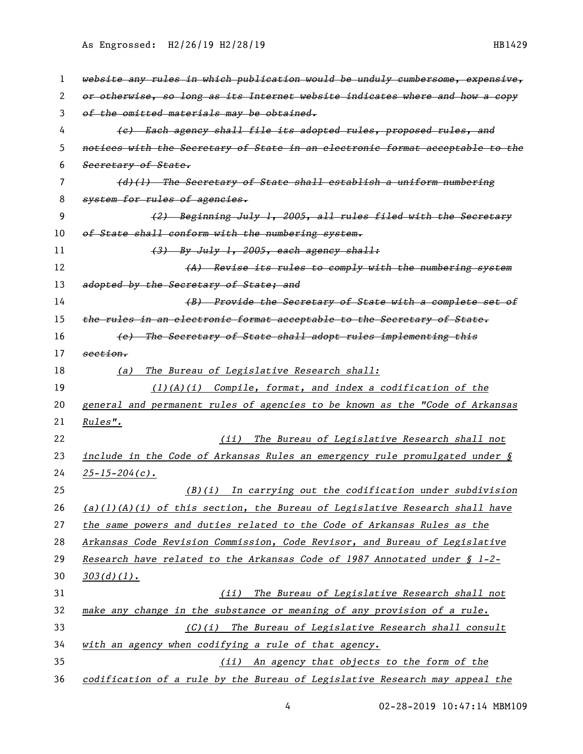As Engrossed: H2/26/19 H2/28/19 12010 12020 12020 12030 120419

| 1  | website any rules in which publication would be unduly cumbersome, expensive,  |
|----|--------------------------------------------------------------------------------|
| 2  | or otherwise, so long as its Internet website indicates where and how a copy   |
| 3  | of the omitted materials may be obtained.                                      |
| 4  | (c) Each agency shall file its adopted rules, proposed rules, and              |
| 5  | notices with the Secretary of State in an electronic format acceptable to the  |
| 6  | Secretary of State.                                                            |
| 7  | (d)(1) The Secretary of State shall establish a uniform numbering              |
| 8  | system for rules of agencies.                                                  |
| 9  | (2) Beginning July 1, 2005, all rules filed with the Secretary                 |
| 10 | of State shall conform with the numbering system.                              |
| 11 | (3) By July 1, 2005, each agency shall:                                        |
| 12 | (A) Revise its rules to comply with the numbering system                       |
| 13 | adopted by the Secretary of State; and                                         |
| 14 | (B) Provide the Secretary of State with a complete set of                      |
| 15 | the rules in an electronic format acceptable to the Secretary of State.        |
| 16 | (e) The Secretary of State shall adopt rules implementing this                 |
| 17 | section.                                                                       |
| 18 | The Bureau of Legislative Research shall:<br>(a)                               |
| 19 | $(1)(A)(i)$ Compile, format, and index a codification of the                   |
| 20 | general and permanent rules of agencies to be known as the "Code of Arkansas   |
| 21 | <u>Rules".</u>                                                                 |
| 22 | The Bureau of Legislative Research shall not<br>(ii)                           |
| 23 | include in the Code of Arkansas Rules an emergency rule promulgated under $\S$ |
| 24 | $\frac{25 - 15 - 204(c)}{c}$                                                   |
| 25 | $(B)(i)$ In carrying out the codification under subdivision                    |
| 26 | $(a)(1)(A)(i)$ of this section, the Bureau of Legislative Research shall have  |
| 27 | the same powers and duties related to the Code of Arkansas Rules as the        |
| 28 | Arkansas Code Revision Commission, Code Revisor, and Bureau of Legislative     |
| 29 | Research have related to the Arkansas Code of 1987 Annotated under § 1-2-      |
| 30 | $303(d)(1)$ .                                                                  |
| 31 | The Bureau of Legislative Research shall not<br>(ii)                           |
| 32 | make any change in the substance or meaning of any provision of a rule.        |
| 33 | (C)(i) The Bureau of Legislative Research shall consult                        |
| 34 | <u>with an agency when codifying a rule of that agency.</u>                    |
| 35 | (ii) An agency that objects to the form of the                                 |
| 36 | codification of a rule by the Bureau of Legislative Research may appeal the    |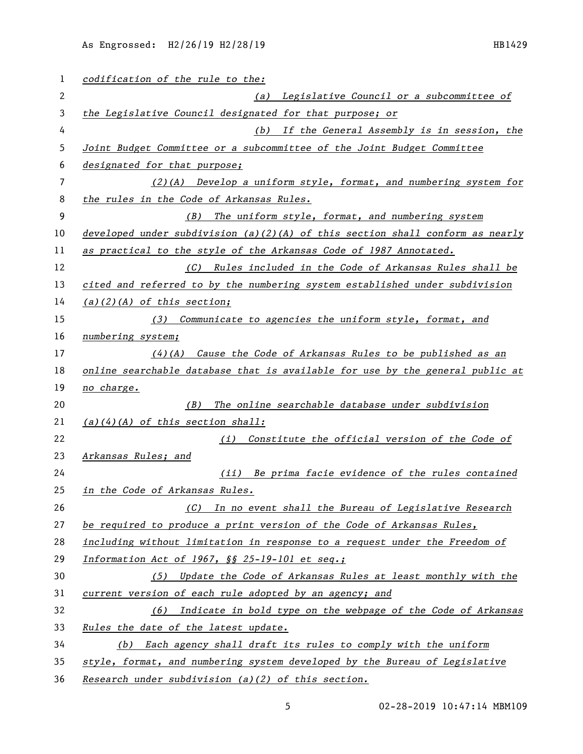| 1  | codification of the rule to the:                                              |
|----|-------------------------------------------------------------------------------|
| 2  | (a) Legislative Council or a subcommittee of                                  |
| 3  | the Legislative Council designated for that purpose; or                       |
| 4  | (b) If the General Assembly is in session, the                                |
| 5  | Joint Budget Committee or a subcommittee of the Joint Budget Committee        |
| 6  | designated for that purpose;                                                  |
| 7  | $(2)(A)$ Develop a uniform style, format, and numbering system for            |
| 8  | the rules in the Code of Arkansas Rules.                                      |
| 9  | The uniform style, format, and numbering system<br>(B)                        |
| 10 | developed under subdivision (a)(2)(A) of this section shall conform as nearly |
| 11 | as practical to the style of the Arkansas Code of 1987 Annotated.             |
| 12 | Rules included in the Code of Arkansas Rules shall be<br>(C)                  |
| 13 | cited and referred to by the numbering system established under subdivision   |
| 14 | $(a)(2)(A)$ of this section;                                                  |
| 15 | (3) Communicate to agencies the uniform style, format, and                    |
| 16 | numbering system;                                                             |
| 17 | $(4)$ (A) Cause the Code of Arkansas Rules to be published as an              |
| 18 | online searchable database that is available for use by the general public at |
| 19 | no charge.                                                                    |
| 20 | The online searchable database under subdivision<br>(B)                       |
| 21 | $(a)(4)(A)$ of this section shall:                                            |
| 22 | Constitute the official version of the Code of<br>(i)                         |
| 23 | Arkansas Rules; and                                                           |
| 24 | (ii) Be prima facie evidence of the rules contained                           |
| 25 | in the Code of Arkansas Rules.                                                |
| 26 | (C) In no event shall the Bureau of Legislative Research                      |
| 27 | be required to produce a print version of the Code of Arkansas Rules,         |
| 28 | including without limitation in response to a request under the Freedom of    |
| 29 | Information Act of 1967, §§ 25-19-101 et seq.;                                |
| 30 | (5) Update the Code of Arkansas Rules at least monthly with the               |
| 31 | current version of each rule adopted by an agency; and                        |
| 32 | (6) Indicate in bold type on the webpage of the Code of Arkansas              |
| 33 | Rules the date of the latest update.                                          |
| 34 | (b) Each agency shall draft its rules to comply with the uniform              |
| 35 | style, format, and numbering system developed by the Bureau of Legislative    |
| 36 | Research under subdivision (a)(2) of this section.                            |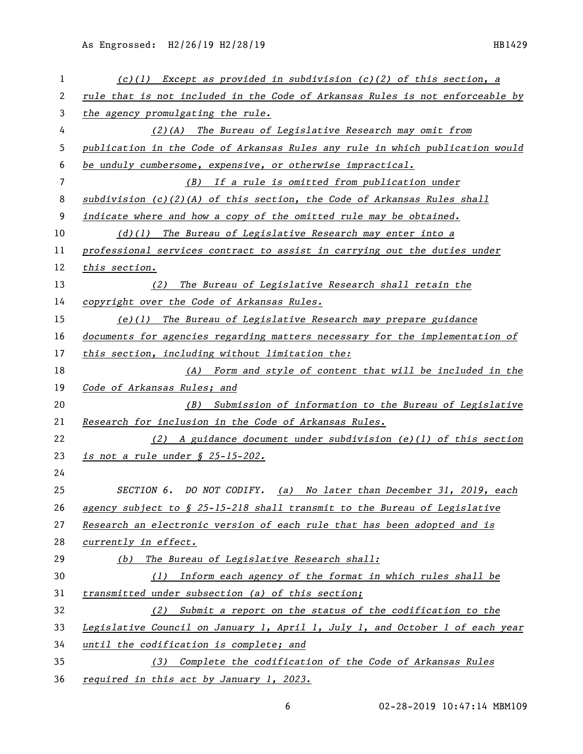| 1  | $(c)(1)$ Except as provided in subdivision $(c)(2)$ of this section, a                |
|----|---------------------------------------------------------------------------------------|
| 2  | rule that is not included in the Code of Arkansas Rules is not enforceable by         |
| 3  | the agency promulgating the rule.                                                     |
| 4  | $(2)(A)$ The Bureau of Legislative Research may omit from                             |
| 5  | publication in the Code of Arkansas Rules any rule in which publication would         |
| 6  | be unduly cumbersome, expensive, or otherwise impractical.                            |
| 7  | (B) If a rule is omitted from publication under                                       |
| 8  | subdivision $(c)(2)(A)$ of this section, the Code of Arkansas Rules shall             |
| 9  | indicate where and how a copy of the omitted rule may be obtained.                    |
| 10 | $(d)(1)$ The Bureau of Legislative Research may enter into a                          |
| 11 | professional services contract to assist in carrying out the duties under             |
| 12 | this section.                                                                         |
| 13 | (2) The Bureau of Legislative Research shall retain the                               |
| 14 | copyright over the Code of Arkansas Rules.                                            |
| 15 | $(e)(1)$ The Bureau of Legislative Research may prepare guidance                      |
| 16 | documents for agencies regarding matters necessary for the implementation of          |
| 17 | this section, including without limitation the:                                       |
| 18 | (A) Form and style of content that will be included in the                            |
| 19 | Code of Arkansas Rules; and                                                           |
| 20 | (B) Submission of information to the Bureau of Legislative                            |
| 21 | Research for inclusion in the Code of Arkansas Rules.                                 |
| 22 | (2) A guidance document under subdivision (e)(1) of this section                      |
| 23 | is not a rule under § 25-15-202.                                                      |
| 24 |                                                                                       |
| 25 | SECTION 6. DO NOT CODIFY.<br>(a) No later than December 31, 2019, each                |
| 26 | agency subject to $\frac{1}{2}$ 25-15-218 shall transmit to the Bureau of Legislative |
| 27 | Research an electronic version of each rule that has been adopted and is              |
| 28 | currently in effect.                                                                  |
| 29 | The Bureau of Legislative Research shall:<br>(b)                                      |
| 30 | (1) Inform each agency of the format in which rules shall be                          |
| 31 | transmitted under subsection (a) of this section;                                     |
| 32 | (2) Submit a report on the status of the codification to the                          |
| 33 | Legislative Council on January 1, April 1, July 1, and October 1 of each year         |
| 34 | until the codification is complete; and                                               |
| 35 | (3) Complete the codification of the Code of Arkansas Rules                           |
| 36 | required in this act by January 1, 2023.                                              |